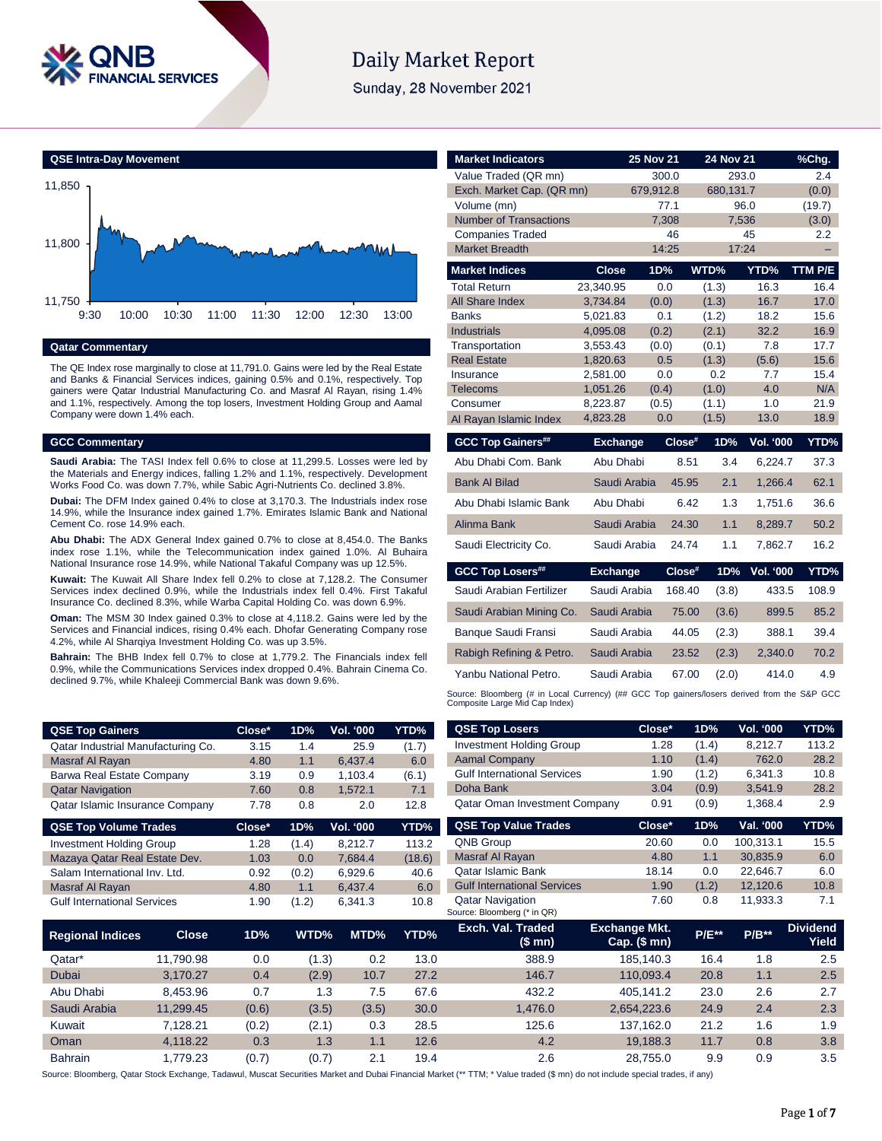

# **Daily Market Report**

Sunday, 28 November 2021



### **Qatar Commentary**

The QE Index rose marginally to close at 11,791.0. Gains were led by the Real Estate and Banks & Financial Services indices, gaining 0.5% and 0.1%, respectively. Top gainers were Qatar Industrial Manufacturing Co. and Masraf Al Rayan, rising 1.4% and 1.1%, respectively. Among the top losers, Investment Holding Group and Aamal Company were down 1.4% each.

#### **GCC Commentary**

**Saudi Arabia:** The TASI Index fell 0.6% to close at 11,299.5. Losses were led by the Materials and Energy indices, falling 1.2% and 1.1%, respectively. Development Works Food Co. was down 7.7%, while Sabic Agri-Nutrients Co. declined 3.8%.

**Dubai:** The DFM Index gained 0.4% to close at 3,170.3. The Industrials index rose 14.9%, while the Insurance index gained 1.7%. Emirates Islamic Bank and National Cement Co. rose 14.9% each.

**Abu Dhabi:** The ADX General Index gained 0.7% to close at 8,454.0. The Banks index rose 1.1%, while the Telecommunication index gained 1.0%. Al Buhaira National Insurance rose 14.9%, while National Takaful Company was up 12.5%.

**Kuwait:** The Kuwait All Share Index fell 0.2% to close at 7,128.2. The Consumer Services index declined 0.9%, while the Industrials index fell 0.4%. First Takaful Insurance Co. declined 8.3%, while Warba Capital Holding Co. was down 6.9%.

**Oman:** The MSM 30 Index gained 0.3% to close at 4,118.2. Gains were led by the Services and Financial indices, rising 0.4% each. Dhofar Generating Company rose 4.2%, while Al Sharqiya Investment Holding Co. was up 3.5%.

**Bahrain:** The BHB Index fell 0.7% to close at 1,779.2. The Financials index fell 0.9%, while the Communications Services index dropped 0.4%. Bahrain Cinema Co. declined 9.7%, while Khaleeji Commercial Bank was down 9.6%.

Gulf International Services 1.90 (1.2) 6,341.3 10.8

| <b>Market Indicators</b>             |                      | 25 Nov 21    | 24 Nov 21       |                  | %Chg.        |
|--------------------------------------|----------------------|--------------|-----------------|------------------|--------------|
| Value Traded (QR mn)                 |                      | 300.0        |                 | 293.0            | 2.4          |
| Exch. Market Cap. (QR mn)            |                      | 679,912.8    | 680,131.7       |                  | (0.0)        |
| Volume (mn)                          |                      | 77.1         |                 | 96.0             | (19.7)       |
| <b>Number of Transactions</b>        |                      | 7,308        |                 | 7,536            | (3.0)        |
| <b>Companies Traded</b>              |                      | 46           |                 | 45               | 2.2          |
| <b>Market Breadth</b>                |                      | 14:25        |                 | 17:24            |              |
| <b>Market Indices</b>                | <b>Close</b>         | 1D%          | WTD%            | YTD%             | TTM P/E      |
| <b>Total Return</b>                  | 23.340.95            | 0.0          | (1.3)           | 16.3             | 16.4         |
| All Share Index                      | 3,734.84             | (0.0)        | (1.3)           | 16.7             | 17.0         |
| <b>Banks</b>                         | 5,021.83             | 0.1          | (1.2)           | 18.2             | 15.6         |
| <b>Industrials</b>                   | 4,095.08             | (0.2)        | (2.1)           | 32.2             | 16.9         |
| Transportation<br><b>Real Estate</b> | 3,553.43             | (0.0)<br>0.5 | (0.1)           | 7.8              | 17.7         |
| Insurance                            | 1,820.63<br>2.581.00 | 0.0          | (1.3)<br>0.2    | (5.6)<br>7.7     | 15.6<br>15.4 |
| <b>Telecoms</b>                      | 1,051.26             | (0.4)        | (1.0)           | 4.0              | N/A          |
| Consumer                             | 8,223.87             | (0.5)        | (1.1)           | 1.0              | 21.9         |
| Al Rayan Islamic Index               | 4,823.28             | 0.0          | (1.5)           | 13.0             | 18.9         |
|                                      |                      |              |                 |                  |              |
| <b>GCC Top Gainers##</b>             | <b>Exchange</b>      |              | Close#<br>1D%   | <b>Vol. '000</b> | YTD%         |
| Abu Dhabi Com, Bank                  | Abu Dhabi            |              | 3.4<br>8.51     | 6,224.7          | 37.3         |
| <b>Bank Al Bilad</b>                 | Saudi Arabia         |              | 45.95<br>2.1    | 1,266.4          | 62.1         |
| Abu Dhabi Islamic Bank               | Abu Dhabi            |              | 6.42<br>1.3     | 1.751.6          | 36.6         |
| Alinma Bank                          | Saudi Arabia         |              | 1.1<br>24.30    | 8,289.7          | 50.2         |
| Saudi Electricity Co.                | Saudi Arabia         |              | 24.74<br>1.1    | 7,862.7          | 16.2         |
| <b>GCC Top Losers##</b>              | <b>Exchange</b>      |              | Close#<br>1D%   | <b>Vol. '000</b> |              |
| Saudi Arabian Fertilizer             | Saudi Arabia         |              | 168.40<br>(3.8) | 433.5            | 108.9        |
| Saudi Arabian Mining Co.             | Saudi Arabia         |              | 75.00<br>(3.6)  | 899.5            | 85.2         |
| Banque Saudi Fransi                  | Saudi Arabia         |              | 44.05<br>(2.3)  | 388.1            | 39.4         |
| Rabigh Refining & Petro.             | Saudi Arabia         |              | 23.52<br>(2.3)  | 2,340.0          | 70.2         |
| Yanbu National Petro.                | Saudi Arabia         |              | 67.00<br>(2.0)  | 414.0            | YTD%<br>4.9  |

| <b>QSE Top Gainers</b>             | Close* | 1D%   | Vol. '000        | YTD%   | <b>QSE Top Losers</b>                | Close* | 1D%   | Vol. '000 | YTD%  |
|------------------------------------|--------|-------|------------------|--------|--------------------------------------|--------|-------|-----------|-------|
| Qatar Industrial Manufacturing Co. | 3.15   | 1.4   | 25.9             | (1.7)  | <b>Investment Holding Group</b>      | 1.28   | (1.4) | 8.212.7   | 113.2 |
| Masraf Al Rayan                    | 4.80   | 1.1   | 6,437.4          | 6.0    | <b>Aamal Company</b>                 | 1.10   | (1.4) | 762.0     | 28.2  |
| Barwa Real Estate Company          | 3.19   | 0.9   | 1.103.4          | (6.1)  | <b>Gulf International Services</b>   | 1.90   | (1.2) | 6.341.3   | 10.8  |
| <b>Qatar Navigation</b>            | 7.60   | 0.8   | 1.572.1          | 7.1    | Doha Bank                            | 3.04   | (0.9) | 3,541.9   | 28.2  |
| Qatar Islamic Insurance Company    | 7.78   | 0.8   | 2.0              | 12.8   | <b>Qatar Oman Investment Company</b> | 0.91   | (0.9) | 1,368.4   | 2.9   |
| <b>QSE Top Volume Trades</b>       | Close* | 1D%   | <b>Vol. '000</b> | YTD%   | <b>QSE Top Value Trades</b>          | Close* | 1D%   | Val. '000 | YTD%  |
| <b>Investment Holding Group</b>    | 1.28   | (1.4) | 8.212.7          | 113.2  | QNB Group                            | 20.60  | 0.0   | 100.313.1 | 15.5  |
| Mazaya Qatar Real Estate Dev.      | 1.03   | 0.0   | 7.684.4          | (18.6) | Masraf Al Rayan                      | 4.80   | 1.1   | 30,835.9  | 6.0   |
| Salam International Inv. Ltd.      | 0.92   | (0.2) | 6,929.6          | 40.6   | <b>Qatar Islamic Bank</b>            | 18.14  | 0.0   | 22.646.7  | 6.0   |
| Masraf Al Ravan                    | 4.80   | 1.1   | 6.437.4          | 6.0    | <b>Gulf International Services</b>   | 1.90   | (1.2) | 12.120.6  | 10.8  |

Qatar Navigation 7.60 0.8 11,933.3 7.1

|                         |              |       |       | $-$ , $-$ |      | Source: Bloomberg (* in QR) |                               |              |         |                          |
|-------------------------|--------------|-------|-------|-----------|------|-----------------------------|-------------------------------|--------------|---------|--------------------------|
| <b>Regional Indices</b> | <b>Close</b> | 1D%   | WTD%  | MTD%      | YTD% | Exch. Val. Traded<br>(\$mn) | Exchange Mkt.<br>Cap. $($mn)$ | <b>P/E**</b> | $P/B**$ | <b>Dividend</b><br>Yield |
| Qatar*                  | 11.790.98    | 0.0   | (1.3) | 0.2       | 13.0 | 388.9                       | 185.140.3                     | 16.4         | 1.8     | 2.5                      |
| <b>Dubai</b>            | 3.170.27     | 0.4   | (2.9) | 10.7      | 27.2 | 146.7                       | 110.093.4                     | 20.8         | 1.1     | 2.5                      |
| Abu Dhabi               | 8.453.96     | 0.7   | 1.3   | 7.5       | 67.6 | 432.2                       | 405.141.2                     | 23.0         | 2.6     | 2.7                      |
| Saudi Arabia            | 11,299.45    | (0.6) | (3.5) | (3.5)     | 30.0 | 1,476.0                     | 2,654,223.6                   | 24.9         | 2.4     | 2.3                      |
| Kuwait                  | 7.128.21     | (0.2) | (2.1) | 0.3       | 28.5 | 125.6                       | 137,162.0                     | 21.2         | 1.6     | 1.9                      |
| Oman                    | 4,118.22     | 0.3   | 1.3   | 1.1       | 12.6 | 4.2                         | 19,188.3                      | 11.7         | 0.8     | 3.8                      |
| <b>Bahrain</b>          | .779.23      | (0.7) | (0.7) | 2.1       | 19.4 | 2.6                         | 28.755.0                      | 9.9          | 0.9     | 3.5                      |

Source: Bloomberg, Qatar Stock Exchange, Tadawul, Muscat Securities Market and Dubai Financial Market (\*\* TTM; \* Value traded (\$ mn) do not include special trades, if any)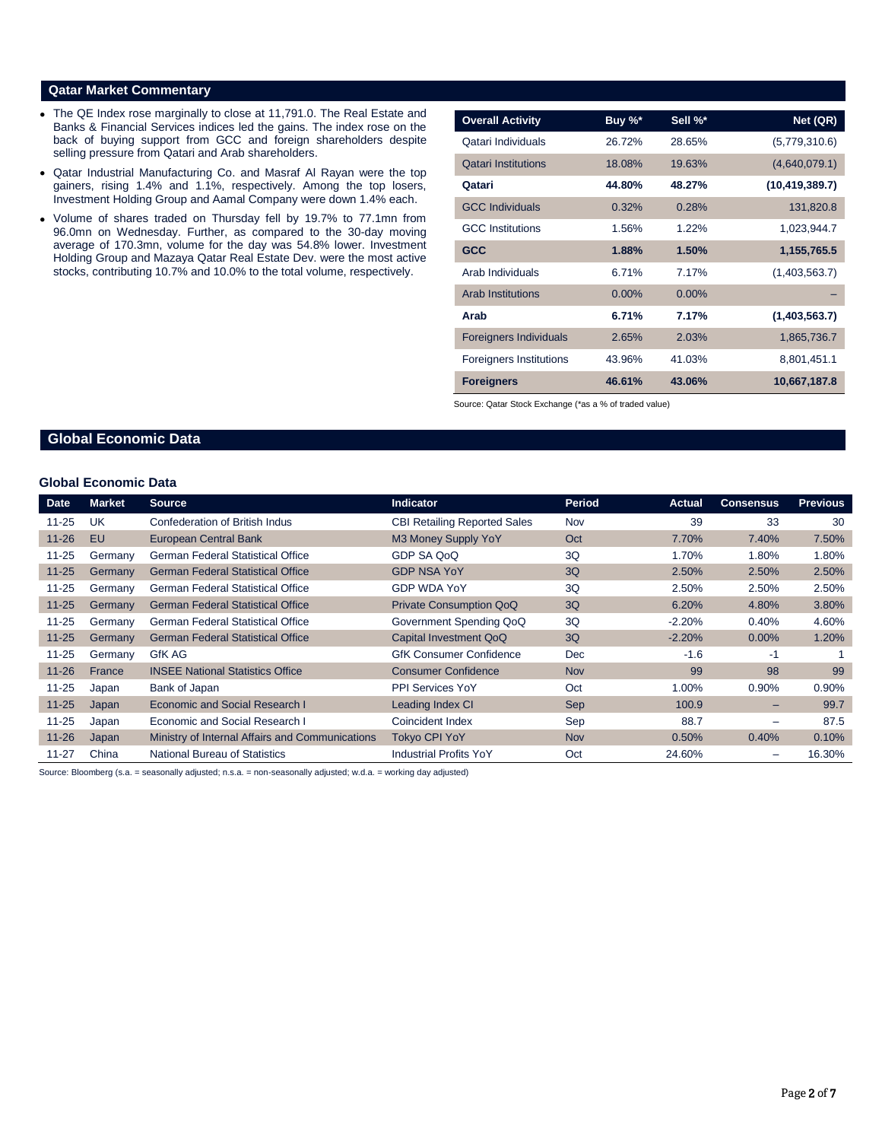#### **Qatar Market Commentary**

- The QE Index rose marginally to close at 11,791.0. The Real Estate and Banks & Financial Services indices led the gains. The index rose on the back of buying support from GCC and foreign shareholders despite selling pressure from Qatari and Arab shareholders.
- Qatar Industrial Manufacturing Co. and Masraf Al Rayan were the top gainers, rising 1.4% and 1.1%, respectively. Among the top losers, Investment Holding Group and Aamal Company were down 1.4% each.
- Volume of shares traded on Thursday fell by 19.7% to 77.1mn from 96.0mn on Wednesday. Further, as compared to the 30-day moving average of 170.3mn, volume for the day was 54.8% lower. Investment Holding Group and Mazaya Qatar Real Estate Dev. were the most active stocks, contributing 10.7% and 10.0% to the total volume, respectively.

| <b>Overall Activity</b>        | Buy %*   | Sell %*  | Net (QR)         |
|--------------------------------|----------|----------|------------------|
| Qatari Individuals             | 26.72%   | 28.65%   | (5,779,310.6)    |
| <b>Qatari Institutions</b>     | 18.08%   | 19.63%   | (4,640,079.1)    |
| Qatari                         | 44.80%   | 48.27%   | (10, 419, 389.7) |
| <b>GCC Individuals</b>         | 0.32%    | 0.28%    | 131,820.8        |
| <b>GCC</b> Institutions        | 1.56%    | 1.22%    | 1,023,944.7      |
| <b>GCC</b>                     | 1.88%    | 1.50%    | 1,155,765.5      |
| Arab Individuals               | 6.71%    | 7.17%    | (1,403,563.7)    |
| <b>Arab Institutions</b>       | $0.00\%$ | $0.00\%$ |                  |
| Arab                           | 6.71%    | 7.17%    | (1,403,563.7)    |
| <b>Foreigners Individuals</b>  | 2.65%    | 2.03%    | 1,865,736.7      |
| <b>Foreigners Institutions</b> | 43.96%   | 41.03%   | 8,801,451.1      |
| <b>Foreigners</b>              | 46.61%   | 43.06%   | 10,667,187.8     |

Source: Qatar Stock Exchange (\*as a % of traded value)

### **Global Economic Data**

#### **Global Economic Data**

| <b>Date</b> | Market  | <b>Source</b>                                   | <b>Indicator</b>                    | Period     | Actual   | <b>Consensus</b> | <b>Previous</b> |
|-------------|---------|-------------------------------------------------|-------------------------------------|------------|----------|------------------|-----------------|
| $11 - 25$   | UK      | Confederation of British Indus                  | <b>CBI Retailing Reported Sales</b> | Nov        | 39       | 33               | 30              |
| $11 - 26$   | EU      | <b>European Central Bank</b>                    | M3 Money Supply YoY                 | Oct        | 7.70%    | 7.40%            | 7.50%           |
| $11 - 25$   | Germany | <b>German Federal Statistical Office</b>        | GDP SA QoQ                          | 3Q         | 1.70%    | 1.80%            | 1.80%           |
| $11 - 25$   | Germany | <b>German Federal Statistical Office</b>        | <b>GDP NSA YoY</b>                  | 3Q         | 2.50%    | 2.50%            | 2.50%           |
| $11 - 25$   | Germany | <b>German Federal Statistical Office</b>        | <b>GDP WDA YoY</b>                  | 3Q         | 2.50%    | 2.50%            | 2.50%           |
| $11 - 25$   | Germany | <b>German Federal Statistical Office</b>        | <b>Private Consumption QoQ</b>      | 3Q         | 6.20%    | 4.80%            | 3.80%           |
| $11 - 25$   | Germany | <b>German Federal Statistical Office</b>        | Government Spending QoQ             | 3Q         | $-2.20%$ | 0.40%            | 4.60%           |
| $11 - 25$   | Germany | <b>German Federal Statistical Office</b>        | Capital Investment QoQ              | 3Q         | $-2.20%$ | $0.00\%$         | 1.20%           |
| $11 - 25$   | Germany | GfK AG                                          | <b>GfK Consumer Confidence</b>      | Dec        | $-1.6$   | -1               |                 |
| $11 - 26$   | France  | <b>INSEE National Statistics Office</b>         | <b>Consumer Confidence</b>          | <b>Nov</b> | 99       | 98               | 99              |
| $11 - 25$   | Japan   | Bank of Japan                                   | <b>PPI Services YoY</b>             | Oct        | 1.00%    | 0.90%            | 0.90%           |
| $11 - 25$   | Japan   | Economic and Social Research I                  | Leading Index CI                    | Sep        | 100.9    | -                | 99.7            |
| $11 - 25$   | Japan   | Economic and Social Research I                  | Coincident Index                    | Sep        | 88.7     |                  | 87.5            |
| $11 - 26$   | Japan   | Ministry of Internal Affairs and Communications | <b>Tokyo CPI YoY</b>                | <b>Nov</b> | 0.50%    | 0.40%            | 0.10%           |
| $11 - 27$   | China   | <b>National Bureau of Statistics</b>            | <b>Industrial Profits YoY</b>       | Oct        | 24.60%   |                  | 16.30%          |

Source: Bloomberg (s.a. = seasonally adjusted; n.s.a. = non-seasonally adjusted; w.d.a. = working day adjusted)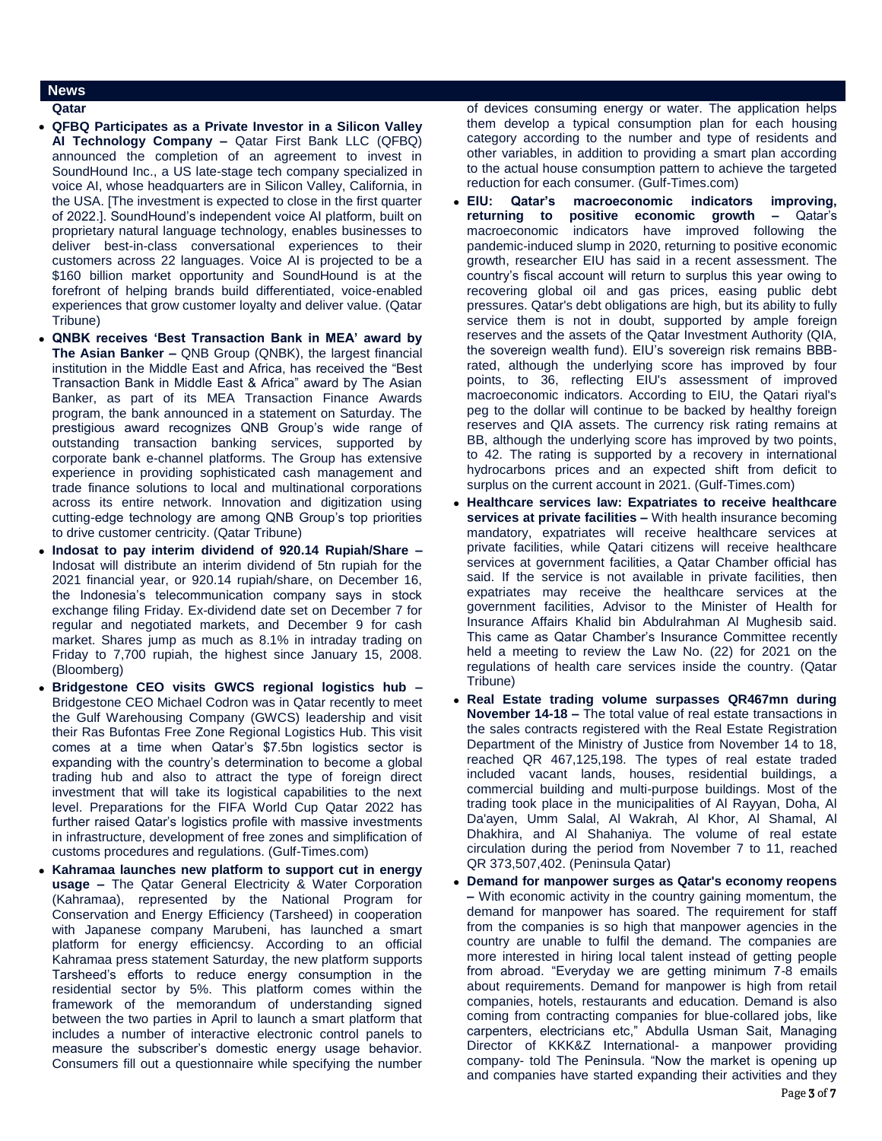#### **News**

#### **Qatar**

- **QFBQ Participates as a Private Investor in a Silicon Valley AI Technology Company –** Qatar First Bank LLC (QFBQ) announced the completion of an agreement to invest in SoundHound Inc., a US late-stage tech company specialized in voice AI, whose headquarters are in Silicon Valley, California, in the USA. [The investment is expected to close in the first quarter of 2022.]. SoundHound's independent voice AI platform, built on proprietary natural language technology, enables businesses to deliver best-in-class conversational experiences to their customers across 22 languages. Voice AI is projected to be a \$160 billion market opportunity and SoundHound is at the forefront of helping brands build differentiated, voice-enabled experiences that grow customer loyalty and deliver value. (Qatar Tribune)
- **QNBK receives 'Best Transaction Bank in MEA' award by The Asian Banker –** QNB Group (QNBK), the largest financial institution in the Middle East and Africa, has received the "Best Transaction Bank in Middle East & Africa" award by The Asian Banker, as part of its MEA Transaction Finance Awards program, the bank announced in a statement on Saturday. The prestigious award recognizes QNB Group's wide range of outstanding transaction banking services, supported by corporate bank e-channel platforms. The Group has extensive experience in providing sophisticated cash management and trade finance solutions to local and multinational corporations across its entire network. Innovation and digitization using cutting-edge technology are among QNB Group's top priorities to drive customer centricity. (Qatar Tribune)
- **Indosat to pay interim dividend of 920.14 Rupiah/Share –** Indosat will distribute an interim dividend of 5tn rupiah for the 2021 financial year, or 920.14 rupiah/share, on December 16, the Indonesia's telecommunication company says in stock exchange filing Friday. Ex-dividend date set on December 7 for regular and negotiated markets, and December 9 for cash market. Shares jump as much as 8.1% in intraday trading on Friday to 7,700 rupiah, the highest since January 15, 2008. (Bloomberg)
- **Bridgestone CEO visits GWCS regional logistics hub –** Bridgestone CEO Michael Codron was in Qatar recently to meet the Gulf Warehousing Company (GWCS) leadership and visit their Ras Bufontas Free Zone Regional Logistics Hub. This visit comes at a time when Qatar's \$7.5bn logistics sector is expanding with the country's determination to become a global trading hub and also to attract the type of foreign direct investment that will take its logistical capabilities to the next level. Preparations for the FIFA World Cup Qatar 2022 has further raised Qatar's logistics profile with massive investments in infrastructure, development of free zones and simplification of customs procedures and regulations. (Gulf-Times.com)
- **Kahramaa launches new platform to support cut in energy usage –** The Qatar General Electricity & Water Corporation (Kahramaa), represented by the National Program for Conservation and Energy Efficiency (Tarsheed) in cooperation with Japanese company Marubeni, has launched a smart platform for energy efficiencsy. According to an official Kahramaa press statement Saturday, the new platform supports Tarsheed's efforts to reduce energy consumption in the residential sector by 5%. This platform comes within the framework of the memorandum of understanding signed between the two parties in April to launch a smart platform that includes a number of interactive electronic control panels to measure the subscriber's domestic energy usage behavior. Consumers fill out a questionnaire while specifying the number

of devices consuming energy or water. The application helps them develop a typical consumption plan for each housing category according to the number and type of residents and other variables, in addition to providing a smart plan according to the actual house consumption pattern to achieve the targeted reduction for each consumer. (Gulf-Times.com)

- **EIU: Qatar's macroeconomic indicators improving, returning to positive economic growth –** Qatar's macroeconomic indicators have improved following the pandemic-induced slump in 2020, returning to positive economic growth, researcher EIU has said in a recent assessment. The country's fiscal account will return to surplus this year owing to recovering global oil and gas prices, easing public debt pressures. Qatar's debt obligations are high, but its ability to fully service them is not in doubt, supported by ample foreign reserves and the assets of the Qatar Investment Authority (QIA, the sovereign wealth fund). EIU's sovereign risk remains BBBrated, although the underlying score has improved by four points, to 36, reflecting EIU's assessment of improved macroeconomic indicators. According to EIU, the Qatari riyal's peg to the dollar will continue to be backed by healthy foreign reserves and QIA assets. The currency risk rating remains at BB, although the underlying score has improved by two points, to 42. The rating is supported by a recovery in international hydrocarbons prices and an expected shift from deficit to surplus on the current account in 2021. (Gulf-Times.com)
- **Healthcare services law: Expatriates to receive healthcare services at private facilities –** With health insurance becoming mandatory, expatriates will receive healthcare services at private facilities, while Qatari citizens will receive healthcare services at government facilities, a Qatar Chamber official has said. If the service is not available in private facilities, then expatriates may receive the healthcare services at the government facilities, Advisor to the Minister of Health for Insurance Affairs Khalid bin Abdulrahman Al Mughesib said. This came as Qatar Chamber's Insurance Committee recently held a meeting to review the Law No. (22) for 2021 on the regulations of health care services inside the country. (Qatar Tribune)
- **Real Estate trading volume surpasses QR467mn during November 14-18 –** The total value of real estate transactions in the sales contracts registered with the Real Estate Registration Department of the Ministry of Justice from November 14 to 18, reached QR 467,125,198. The types of real estate traded included vacant lands, houses, residential buildings, a commercial building and multi-purpose buildings. Most of the trading took place in the municipalities of Al Rayyan, Doha, Al Da'ayen, Umm Salal, Al Wakrah, Al Khor, Al Shamal, Al Dhakhira, and Al Shahaniya. The volume of real estate circulation during the period from November 7 to 11, reached QR 373,507,402. (Peninsula Qatar)
- **Demand for manpower surges as Qatar's economy reopens –** With economic activity in the country gaining momentum, the demand for manpower has soared. The requirement for staff from the companies is so high that manpower agencies in the country are unable to fulfil the demand. The companies are more interested in hiring local talent instead of getting people from abroad. "Everyday we are getting minimum 7-8 emails about requirements. Demand for manpower is high from retail companies, hotels, restaurants and education. Demand is also coming from contracting companies for blue-collared jobs, like carpenters, electricians etc," Abdulla Usman Sait, Managing Director of KKK&Z International- a manpower providing company- told The Peninsula. "Now the market is opening up and companies have started expanding their activities and they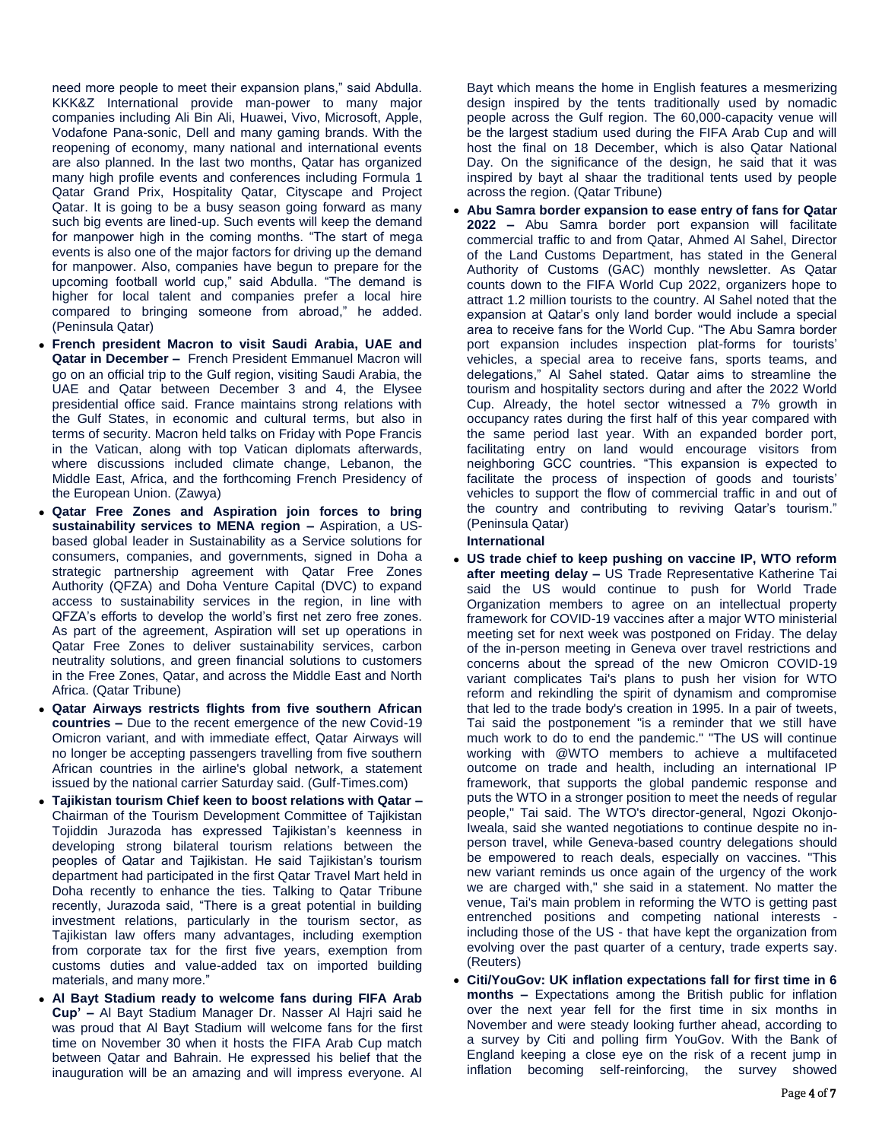need more people to meet their expansion plans," said Abdulla. KKK&Z International provide man-power to many major companies including Ali Bin Ali, Huawei, Vivo, Microsoft, Apple, Vodafone Pana-sonic, Dell and many gaming brands. With the reopening of economy, many national and international events are also planned. In the last two months, Qatar has organized many high profile events and conferences including Formula 1 Qatar Grand Prix, Hospitality Qatar, Cityscape and Project Qatar. It is going to be a busy season going forward as many such big events are lined-up. Such events will keep the demand for manpower high in the coming months. "The start of mega events is also one of the major factors for driving up the demand for manpower. Also, companies have begun to prepare for the upcoming football world cup," said Abdulla. "The demand is higher for local talent and companies prefer a local hire compared to bringing someone from abroad," he added. (Peninsula Qatar)

- **French president Macron to visit Saudi Arabia, UAE and Qatar in December –** French President Emmanuel Macron will go on an official trip to the Gulf region, visiting Saudi Arabia, the UAE and Qatar between December 3 and 4, the Elysee presidential office said. France maintains strong relations with the Gulf States, in economic and cultural terms, but also in terms of security. Macron held talks on Friday with Pope Francis in the Vatican, along with top Vatican diplomats afterwards, where discussions included climate change, Lebanon, the Middle East, Africa, and the forthcoming French Presidency of the European Union. (Zawya)
- **Qatar Free Zones and Aspiration join forces to bring sustainability services to MENA region –** Aspiration, a USbased global leader in Sustainability as a Service solutions for consumers, companies, and governments, signed in Doha a strategic partnership agreement with Qatar Free Zones Authority (QFZA) and Doha Venture Capital (DVC) to expand access to sustainability services in the region, in line with QFZA's efforts to develop the world's first net zero free zones. As part of the agreement, Aspiration will set up operations in Qatar Free Zones to deliver sustainability services, carbon neutrality solutions, and green financial solutions to customers in the Free Zones, Qatar, and across the Middle East and North Africa. (Qatar Tribune)
- **Qatar Airways restricts flights from five southern African countries –** Due to the recent emergence of the new Covid-19 Omicron variant, and with immediate effect, Qatar Airways will no longer be accepting passengers travelling from five southern African countries in the airline's global network, a statement issued by the national carrier Saturday said. (Gulf-Times.com)
- **Tajikistan tourism Chief keen to boost relations with Qatar –** Chairman of the Tourism Development Committee of Tajikistan Tojiddin Jurazoda has expressed Tajikistan's keenness in developing strong bilateral tourism relations between the peoples of Qatar and Tajikistan. He said Tajikistan's tourism department had participated in the first Qatar Travel Mart held in Doha recently to enhance the ties. Talking to Qatar Tribune recently, Jurazoda said, "There is a great potential in building investment relations, particularly in the tourism sector, as Tajikistan law offers many advantages, including exemption from corporate tax for the first five years, exemption from customs duties and value-added tax on imported building materials, and many more."
- **Al Bayt Stadium ready to welcome fans during FIFA Arab Cup' –** Al Bayt Stadium Manager Dr. Nasser Al Hajri said he was proud that Al Bayt Stadium will welcome fans for the first time on November 30 when it hosts the FIFA Arab Cup match between Qatar and Bahrain. He expressed his belief that the inauguration will be an amazing and will impress everyone. Al

Bayt which means the home in English features a mesmerizing design inspired by the tents traditionally used by nomadic people across the Gulf region. The 60,000-capacity venue will be the largest stadium used during the FIFA Arab Cup and will host the final on 18 December, which is also Qatar National Day. On the significance of the design, he said that it was inspired by bayt al shaar the traditional tents used by people across the region. (Qatar Tribune)

 **Abu Samra border expansion to ease entry of fans for Qatar 2022 –** Abu Samra border port expansion will facilitate commercial traffic to and from Qatar, Ahmed Al Sahel, Director of the Land Customs Department, has stated in the General Authority of Customs (GAC) monthly newsletter. As Qatar counts down to the FIFA World Cup 2022, organizers hope to attract 1.2 million tourists to the country. Al Sahel noted that the expansion at Qatar's only land border would include a special area to receive fans for the World Cup. "The Abu Samra border port expansion includes inspection plat-forms for tourists' vehicles, a special area to receive fans, sports teams, and delegations," Al Sahel stated. Qatar aims to streamline the tourism and hospitality sectors during and after the 2022 World Cup. Already, the hotel sector witnessed a 7% growth in occupancy rates during the first half of this year compared with the same period last year. With an expanded border port, facilitating entry on land would encourage visitors from neighboring GCC countries. "This expansion is expected to facilitate the process of inspection of goods and tourists' vehicles to support the flow of commercial traffic in and out of the country and contributing to reviving Qatar's tourism." (Peninsula Qatar)

#### **International**

- **US trade chief to keep pushing on vaccine IP, WTO reform after meeting delay –** US Trade Representative Katherine Tai said the US would continue to push for World Trade Organization members to agree on an intellectual property framework for COVID-19 vaccines after a major WTO ministerial meeting set for next week was postponed on Friday. The delay of the in-person meeting in Geneva over travel restrictions and concerns about the spread of the new Omicron COVID-19 variant complicates Tai's plans to push her vision for WTO reform and rekindling the spirit of dynamism and compromise that led to the trade body's creation in 1995. In a pair of tweets, Tai said the postponement "is a reminder that we still have much work to do to end the pandemic." "The US will continue working with @WTO members to achieve a multifaceted outcome on trade and health, including an international IP framework, that supports the global pandemic response and puts the WTO in a stronger position to meet the needs of regular people," Tai said. The WTO's director-general, Ngozi Okonjo-Iweala, said she wanted negotiations to continue despite no inperson travel, while Geneva-based country delegations should be empowered to reach deals, especially on vaccines. "This new variant reminds us once again of the urgency of the work we are charged with," she said in a statement. No matter the venue, Tai's main problem in reforming the WTO is getting past entrenched positions and competing national interests including those of the US - that have kept the organization from evolving over the past quarter of a century, trade experts say. (Reuters)
- **Citi/YouGov: UK inflation expectations fall for first time in 6 months –** Expectations among the British public for inflation over the next year fell for the first time in six months in November and were steady looking further ahead, according to a survey by Citi and polling firm YouGov. With the Bank of England keeping a close eye on the risk of a recent jump in inflation becoming self-reinforcing, the survey showed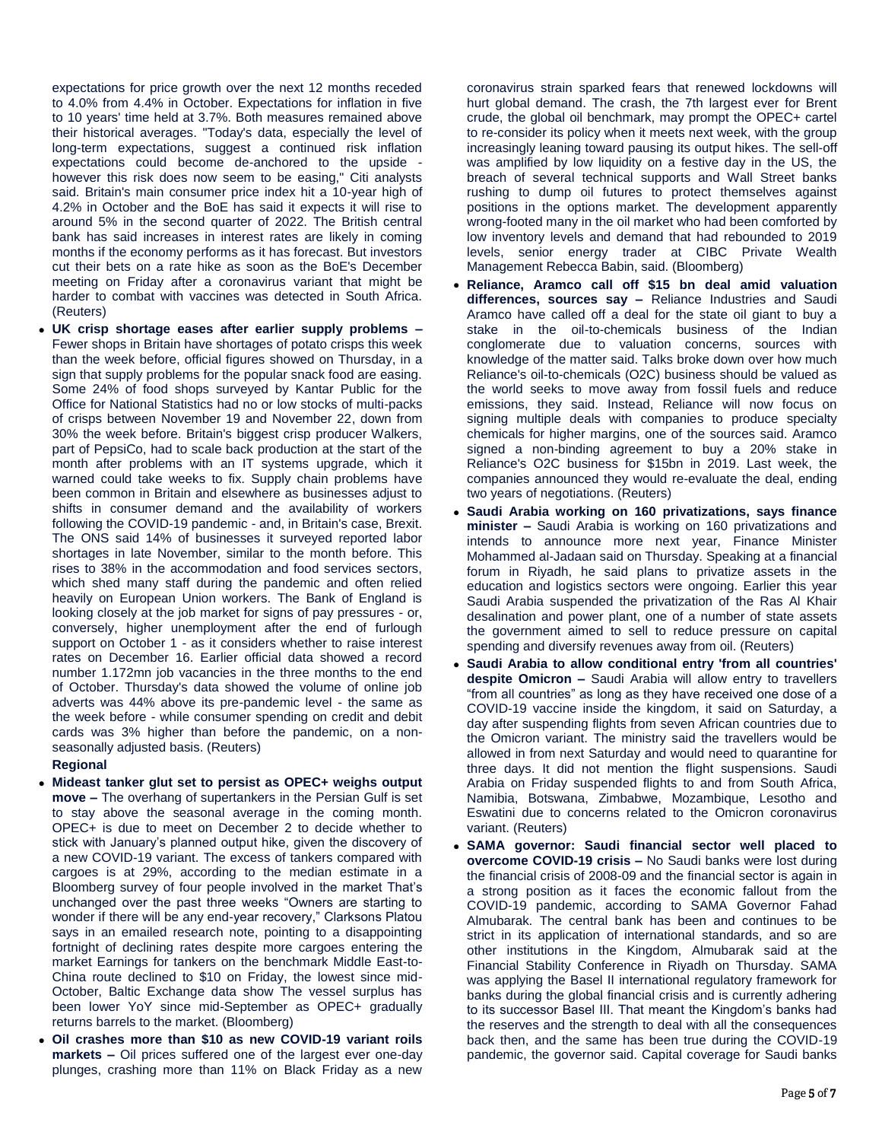expectations for price growth over the next 12 months receded to 4.0% from 4.4% in October. Expectations for inflation in five to 10 years' time held at 3.7%. Both measures remained above their historical averages. "Today's data, especially the level of long-term expectations, suggest a continued risk inflation expectations could become de-anchored to the upside however this risk does now seem to be easing," Citi analysts said. Britain's main consumer price index hit a 10-year high of 4.2% in October and the BoE has said it expects it will rise to around 5% in the second quarter of 2022. The British central bank has said increases in interest rates are likely in coming months if the economy performs as it has forecast. But investors cut their bets on a rate hike as soon as the BoE's December meeting on Friday after a coronavirus variant that might be harder to combat with vaccines was detected in South Africa. (Reuters)

 **UK crisp shortage eases after earlier supply problems –** Fewer shops in Britain have shortages of potato crisps this week than the week before, official figures showed on Thursday, in a sign that supply problems for the popular snack food are easing. Some 24% of food shops surveyed by Kantar Public for the Office for National Statistics had no or low stocks of multi-packs of crisps between November 19 and November 22, down from 30% the week before. Britain's biggest crisp producer Walkers, part of PepsiCo, had to scale back production at the start of the month after problems with an IT systems upgrade, which it warned could take weeks to fix. Supply chain problems have been common in Britain and elsewhere as businesses adjust to shifts in consumer demand and the availability of workers following the COVID-19 pandemic - and, in Britain's case, Brexit. The ONS said 14% of businesses it surveyed reported labor shortages in late November, similar to the month before. This rises to 38% in the accommodation and food services sectors, which shed many staff during the pandemic and often relied heavily on European Union workers. The Bank of England is looking closely at the job market for signs of pay pressures - or, conversely, higher unemployment after the end of furlough support on October 1 - as it considers whether to raise interest rates on December 16. Earlier official data showed a record number 1.172mn job vacancies in the three months to the end of October. Thursday's data showed the volume of online job adverts was 44% above its pre-pandemic level - the same as the week before - while consumer spending on credit and debit cards was 3% higher than before the pandemic, on a nonseasonally adjusted basis. (Reuters)

#### **Regional**

- **Mideast tanker glut set to persist as OPEC+ weighs output move –** The overhang of supertankers in the Persian Gulf is set to stay above the seasonal average in the coming month. OPEC+ is due to meet on December 2 to decide whether to stick with January's planned output hike, given the discovery of a new COVID-19 variant. The excess of tankers compared with cargoes is at 29%, according to the median estimate in a Bloomberg survey of four people involved in the market That's unchanged over the past three weeks "Owners are starting to wonder if there will be any end-year recovery," Clarksons Platou says in an emailed research note, pointing to a disappointing fortnight of declining rates despite more cargoes entering the market Earnings for tankers on the benchmark Middle East-to-China route declined to \$10 on Friday, the lowest since mid-October, Baltic Exchange data show The vessel surplus has been lower YoY since mid-September as OPEC+ gradually returns barrels to the market. (Bloomberg)
- **Oil crashes more than \$10 as new COVID-19 variant roils markets –** Oil prices suffered one of the largest ever one-day plunges, crashing more than 11% on Black Friday as a new

coronavirus strain sparked fears that renewed lockdowns will hurt global demand. The crash, the 7th largest ever for Brent crude, the global oil benchmark, may prompt the OPEC+ cartel to re-consider its policy when it meets next week, with the group increasingly leaning toward pausing its output hikes. The sell-off was amplified by low liquidity on a festive day in the US, the breach of several technical supports and Wall Street banks rushing to dump oil futures to protect themselves against positions in the options market. The development apparently wrong-footed many in the oil market who had been comforted by low inventory levels and demand that had rebounded to 2019 levels, senior energy trader at CIBC Private Wealth Management Rebecca Babin, said. (Bloomberg)

- **Reliance, Aramco call off \$15 bn deal amid valuation differences, sources say –** Reliance Industries and Saudi Aramco have called off a deal for the state oil giant to buy a stake in the oil-to-chemicals business of the Indian conglomerate due to valuation concerns, sources with knowledge of the matter said. Talks broke down over how much Reliance's oil-to-chemicals (O2C) business should be valued as the world seeks to move away from fossil fuels and reduce emissions, they said. Instead, Reliance will now focus on signing multiple deals with companies to produce specialty chemicals for higher margins, one of the sources said. Aramco signed a non-binding agreement to buy a 20% stake in Reliance's O2C business for \$15bn in 2019. Last week, the companies announced they would re-evaluate the deal, ending two years of negotiations. (Reuters)
- **Saudi Arabia working on 160 privatizations, says finance minister –** Saudi Arabia is working on 160 privatizations and intends to announce more next year, Finance Minister Mohammed al-Jadaan said on Thursday. Speaking at a financial forum in Riyadh, he said plans to privatize assets in the education and logistics sectors were ongoing. Earlier this year Saudi Arabia suspended the privatization of the Ras Al Khair desalination and power plant, one of a number of state assets the government aimed to sell to reduce pressure on capital spending and diversify revenues away from oil. (Reuters)
- **Saudi Arabia to allow conditional entry 'from all countries' despite Omicron –** Saudi Arabia will allow entry to travellers "from all countries" as long as they have received one dose of a COVID-19 vaccine inside the kingdom, it said on Saturday, a day after suspending flights from seven African countries due to the Omicron variant. The ministry said the travellers would be allowed in from next Saturday and would need to quarantine for three days. It did not mention the flight suspensions. Saudi Arabia on Friday suspended flights to and from South Africa, Namibia, Botswana, Zimbabwe, Mozambique, Lesotho and Eswatini due to concerns related to the Omicron coronavirus variant. (Reuters)
- **SAMA governor: Saudi financial sector well placed to overcome COVID-19 crisis –** No Saudi banks were lost during the financial crisis of 2008-09 and the financial sector is again in a strong position as it faces the economic fallout from the COVID-19 pandemic, according to SAMA Governor Fahad Almubarak. The central bank has been and continues to be strict in its application of international standards, and so are other institutions in the Kingdom, Almubarak said at the Financial Stability Conference in Riyadh on Thursday. SAMA was applying the Basel II international regulatory framework for banks during the global financial crisis and is currently adhering to its successor Basel III. That meant the Kingdom's banks had the reserves and the strength to deal with all the consequences back then, and the same has been true during the COVID-19 pandemic, the governor said. Capital coverage for Saudi banks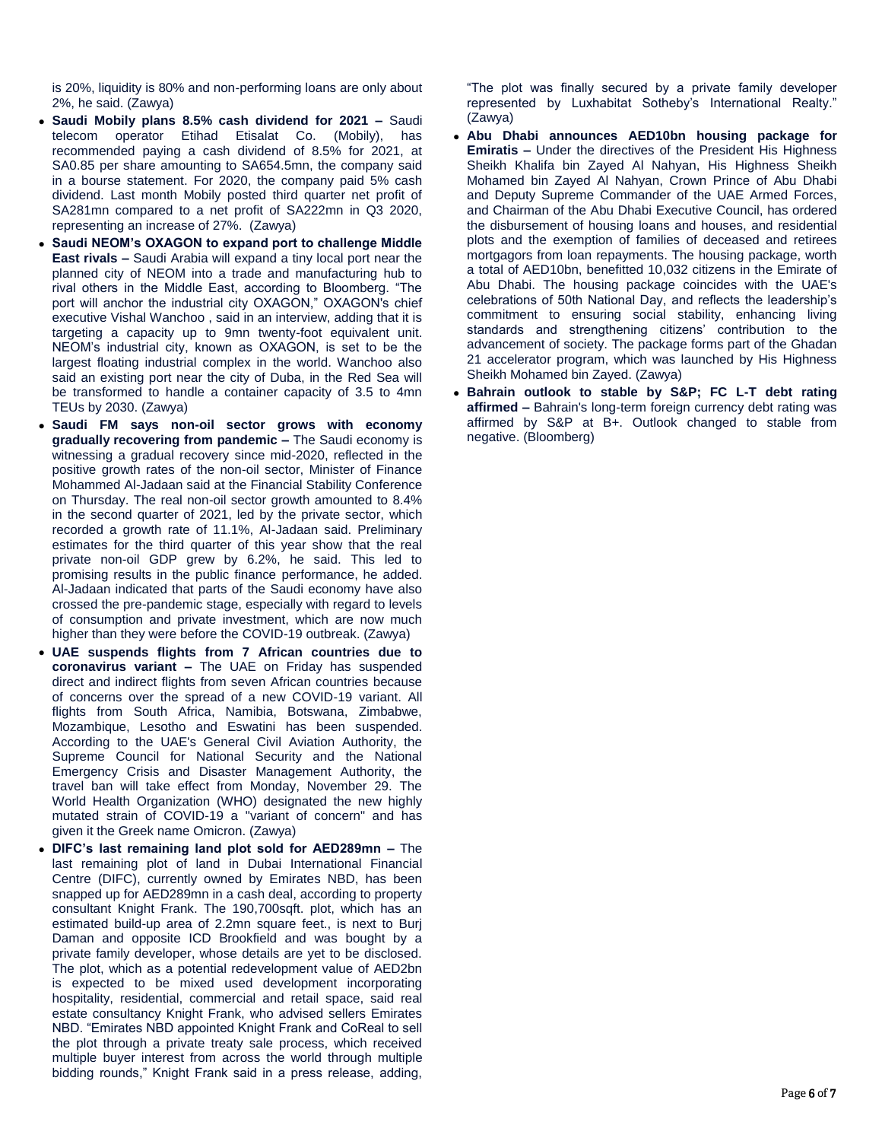is 20%, liquidity is 80% and non-performing loans are only about 2%, he said. (Zawya)

- **Saudi Mobily plans 8.5% cash dividend for 2021 –** Saudi telecom operator Etihad Etisalat Co. (Mobily), has recommended paying a cash dividend of 8.5% for 2021, at SA0.85 per share amounting to SA654.5mn, the company said in a bourse statement. For 2020, the company paid 5% cash dividend. Last month Mobily posted third quarter net profit of SA281mn compared to a net profit of SA222mn in Q3 2020, representing an increase of 27%. (Zawya)
- **Saudi NEOM's OXAGON to expand port to challenge Middle East rivals –** Saudi Arabia will expand a tiny local port near the planned city of NEOM into a trade and manufacturing hub to rival others in the Middle East, according to Bloomberg. "The port will anchor the industrial city OXAGON," OXAGON's chief executive Vishal Wanchoo , said in an interview, adding that it is targeting a capacity up to 9mn twenty-foot equivalent unit. NEOM's industrial city, known as OXAGON, is set to be the largest floating industrial complex in the world. Wanchoo also said an existing port near the city of Duba, in the Red Sea will be transformed to handle a container capacity of 3.5 to 4mn TEUs by 2030. (Zawya)
- **Saudi FM says non-oil sector grows with economy gradually recovering from pandemic –** The Saudi economy is witnessing a gradual recovery since mid-2020, reflected in the positive growth rates of the non-oil sector, Minister of Finance Mohammed Al-Jadaan said at the Financial Stability Conference on Thursday. The real non-oil sector growth amounted to 8.4% in the second quarter of 2021, led by the private sector, which recorded a growth rate of 11.1%, Al-Jadaan said. Preliminary estimates for the third quarter of this year show that the real private non-oil GDP grew by 6.2%, he said. This led to promising results in the public finance performance, he added. Al-Jadaan indicated that parts of the Saudi economy have also crossed the pre-pandemic stage, especially with regard to levels of consumption and private investment, which are now much higher than they were before the COVID-19 outbreak. (Zawya)
- **UAE suspends flights from 7 African countries due to coronavirus variant –** The UAE on Friday has suspended direct and indirect flights from seven African countries because of concerns over the spread of a new COVID-19 variant. All flights from South Africa, Namibia, Botswana, Zimbabwe, Mozambique, Lesotho and Eswatini has been suspended. According to the UAE's General Civil Aviation Authority, the Supreme Council for National Security and the National Emergency Crisis and Disaster Management Authority, the travel ban will take effect from Monday, November 29. The World Health Organization (WHO) designated the new highly mutated strain of COVID-19 a "variant of concern" and has given it the Greek name Omicron. (Zawya)
- **DIFC's last remaining land plot sold for AED289mn –** The last remaining plot of land in Dubai International Financial Centre (DIFC), currently owned by Emirates NBD, has been snapped up for AED289mn in a cash deal, according to property consultant Knight Frank. The 190,700sqft. plot, which has an estimated build-up area of 2.2mn square feet., is next to Burj Daman and opposite ICD Brookfield and was bought by a private family developer, whose details are yet to be disclosed. The plot, which as a potential redevelopment value of AED2bn is expected to be mixed used development incorporating hospitality, residential, commercial and retail space, said real estate consultancy Knight Frank, who advised sellers Emirates NBD. "Emirates NBD appointed Knight Frank and CoReal to sell the plot through a private treaty sale process, which received multiple buyer interest from across the world through multiple bidding rounds," Knight Frank said in a press release, adding,

"The plot was finally secured by a private family developer represented by Luxhabitat Sotheby's International Realty." (Zawya)

- **Abu Dhabi announces AED10bn housing package for Emiratis –** Under the directives of the President His Highness Sheikh Khalifa bin Zayed Al Nahyan, His Highness Sheikh Mohamed bin Zayed Al Nahyan, Crown Prince of Abu Dhabi and Deputy Supreme Commander of the UAE Armed Forces, and Chairman of the Abu Dhabi Executive Council, has ordered the disbursement of housing loans and houses, and residential plots and the exemption of families of deceased and retirees mortgagors from loan repayments. The housing package, worth a total of AED10bn, benefitted 10,032 citizens in the Emirate of Abu Dhabi. The housing package coincides with the UAE's celebrations of 50th National Day, and reflects the leadership's commitment to ensuring social stability, enhancing living standards and strengthening citizens' contribution to the advancement of society. The package forms part of the Ghadan 21 accelerator program, which was launched by His Highness Sheikh Mohamed bin Zayed. (Zawya)
- **Bahrain outlook to stable by S&P; FC L-T debt rating affirmed –** Bahrain's long-term foreign currency debt rating was affirmed by S&P at B+. Outlook changed to stable from negative. (Bloomberg)